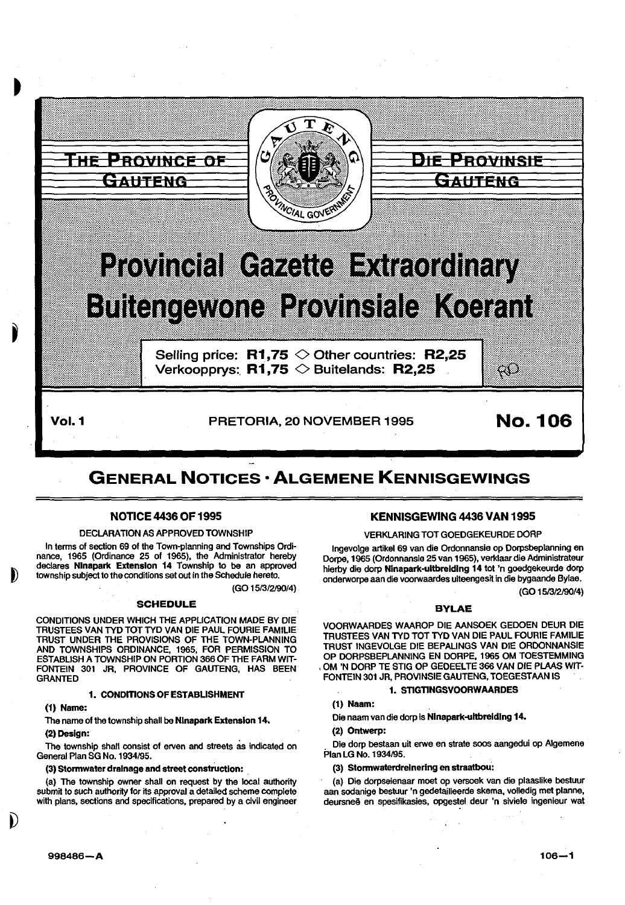

# GENERAL NOTICES • ALGEMENE KENNISGEWINGS

# NOTICE 4436 OF 1995

DECLARATION AS APPROVED TOWNSHIP

In terms of section 69 of the Town-planning and Townships Ordinance, 1965 (Ordinance 25 of 1965), the Administrator hereby declares Nlnapark Extension 14 Township to be an approved township subject to the conditions set out in the Schedule hereto.

(GO 15/3/2190/4)

#### SCHEDULE

CONDITIONS UNDER WHICH THE APPLICATION MADE BY DIE TRUSTEES VAN TYD TOT TYD VAN DIE PAUL FOURIE FAMILIE TRUST UNDER THE PROVISIONS OF THE TOWN-PLANNING AND TOWNSHIPS ORDINANCE, 1965, FOR PERMISSION TO ESTABLISH A TOWNSHIP ON PORTION 366 OF THE FARM WIT· FONTEIN 301 JR, PROVINCE OF GAUTENG, HAS BEEN GRANTED

## 1. CONDITIONS OF ESTABLISHMENT

(1) Name:

The name of the township shall be Nlnapark Extension 14. (2) Design:

The township shall consist of erven and streets as indicated on

General Plan SG No. 1934/95.

(3) Stormwater drainage and street construction: .

(a) The township owner shall on request by the local authority submit to such authority for its approval a detailed scheme complete with plans, sections and specifications, prepared by a civil engineer

# KENNISGEWING 4436 VAN 1995

#### VERKLARING TOT GOEDGEKEURDE DORP

lngevolge artikel 69 van die Ordonnansie op Dorpsbeplanning en Dorpe, 1965 (Ordonnansie 25 van 1965), verklaar die Administrateur hierby die dorp Ninapark-uitbreiding 14 tot 'n goedgekeurde dorp onderworpe aan die voorwaardes uiteengesit in die bygaande Bylae.

(GO 15/3/2190/4)

# BYLAE

VOORWAARDES WAAROP DIE AANSOEK GEDOEN DEUR DIE TRUSTEES VAN TYD TOT TYD VAN DIE PAUL FOURIE FAMILIE TRUST INGEVOLGE DIE BEPALINGS VAN DIE ORDONNANSIE OP DORPSBEPLANNING EN DORPE, 1965 OM TOESTEMMING , OM 'N DORP TE STIG OP GEDEELTE 366 VAN DIE PLAAS WIT-FONTEIN 301 JR, PROVINSIE GAUTENG, TOEGESTAAN IS

## 1. STIGTINGSVOORWAARDES

# (1) Naam:

Die naam van die dorp is Nlnapark-ultbreldlng 14.

(2) Ontwerp:

. Die dorp bestaan uit erwe en strate soos aangedui op Algemene Plan LG No. 1934/95.

(3) Stormwaterdrelnerlng en straatbou:

(a) Die dorpseienaar meet op versoek van die plaaslike bestuur aan sodanige bestuur 'n gedetailleerde skema. volledig met planne, deursneë en spesifikasies, opgestel deur 'n siviele ingenieur wat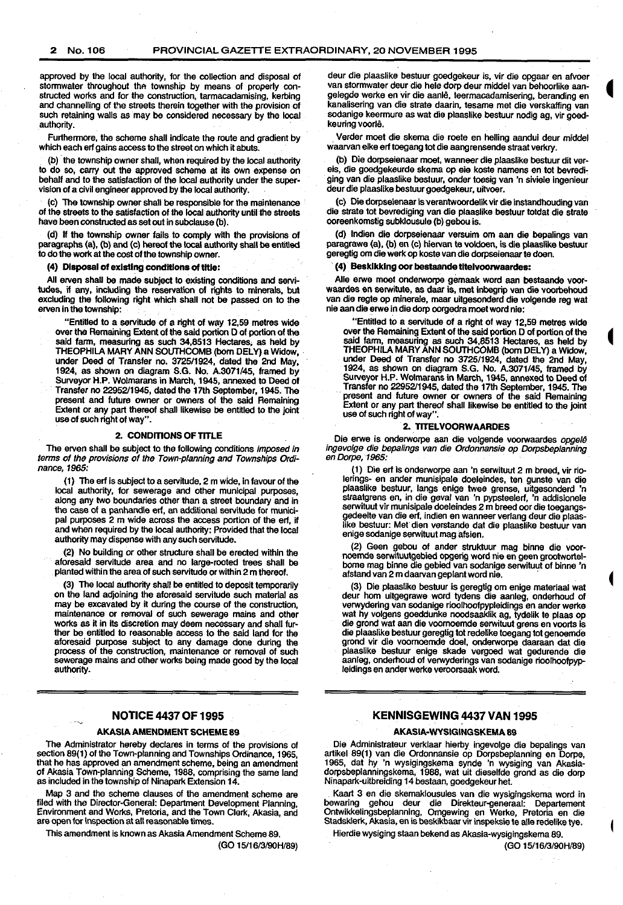approved by the local authority, for the collection and disposal of stormwater throughout the township by means of properly constructed works and for the construction, tarmacadamising, kerbing and channelling of the streets therein together with the provision of such retaining walls as may be considered necessary by the local authority.

Furthermore, the scheme shall indicate the route and gradient by which each erf gains access to the street on which it abuts.

(b) the township owner shall, when required by the local authority to do so, carry out the approved scheme at its own expense on behalf and to the satisfaction of the local authority under the supervision of a civil engineer approved by the local authority.

(c) The township owner shall be responsible for the maintenance of the streets to the satisfaction of the local authority until the streets have been constructed as set out in subclause (b).

(d) H the township owner fails to comply with the provisions of paragraphs (a), (b) and (c) hereof the local authority shall be entitled to do the work at the cost of the township owner.

#### (4) Disposal of existing conditions of title:

All erven shall be made subject to existing conditions and servitudes, if any, including the reservation of rights to minerals, but excluding the following right which shall not be passed on to the erven in the township:

"Entitled to a servitude of a right of way 12,59 metres wide over the Remaining Extent of the said portion D of portion of the said farm, measuring as such 34,8513 Hectares, as held by THEOPHILA MARY ANN SOUTHCOMB (born DELY) a Widow, under Deed of Transfer no. 3725/1924, dated the 2nd May, 1924, as shown on diagram S.G. No. A.3071/45, framed by Surveyor H.P. Wolmarans in March, 1945, annexed to Deed of Transfer no 22952/1945, dated the 17th September, 1945. The present and future owner or owners of the said Remaining Extent or any part thereof shall likewise be entitled to the joint use of such right of way".

# 2. CONDITIONS OF TITLE

The erven shall be subject to the following conditions imposed in terms of the provisions of the Town-planning and Townships Ordinance, 1965:

(1) The erf is subject to a servitude, 2 m wide, in favour of the local authority, for sewerage and other municipal purposes, along any two boundaries other than a street boundary and in the case of a panhandle erf, an additional servitude for municipal purposes 2 m wide across the access portion of the erf, if and when required by the local authority: Provided that the local authority may dispense with any such servitude.

(2) No building or other structure shall be erected within the aforesaid servitude area and no large-rooted trees shall be planted within the area of such servitude or within 2m thereof.

(3) The local authority shall be entitled to deposit temporarily on the land adjoining the aforesaid servitude such material as may be excavated by it during the course of the construction, maintenance or removal of such sewerage mains and other works as it in its discretion may deem necessary and shall further be entitled to reasonable access to the said land for the aforesaid purpose subject to any damage done during the process of the construction, maintenance or removal of such sewerage mains and other works being made good by the local authority.

# NOTICE 4437 OF 1995

## AKASIA AMENDMENT SCHEME 89

The Administrator hereby declares in terms of the provisions of section 89(1) of the Town-planning and Townships Ordinance, 1965, that he has approved an amendment scheme, being an amendment of Akasia Town-planning Scheme, 1988, comprising the same land as included in the township of Ninapark Extension 14.

Map 3 and the scheme clauses of the amendment scheme are filed with the Director-General: Department Development Planning, Environment and WorkS, Pretoria, and the Town Clerk, Akasia, and are open for inspection at all reasonable times.

This amendment is known as Akasia Amendment Scheme 89.

(GO 15116/3/90H/89)

deur die plaaslike bestuur goedgekeur is, vir die opgaar en afvoer van stormwater deur die hele dorp deur middel van behoorlike aangelegde werke en vir die aanle, teermacadamisering, beranding en • kanalisering van die strata daarin, tesame met die verskaffing van sodanige keermure as wat die plaaslike bestuur nodig ag, vir goedkeuring voorle.

Verder moet die skema die roete en helling aandui deur middel waarvan elke erf toegang tot die aangrensende straat verkry.

(b) Die dorpseienaar moet, wanneer die plaaslike bestuur dit vereis, die goedgekeurde skema op eie koste namens en tot bevrediging van die plaaslike bestuur, onder toesig van 'n siviele ingenieur deur die plaaslike bestuur goedgekeur, uitvoer.

(c) Die dorpseienaar is verantwoordelik vir die instandhouding van die strata tot bevrediging van die plaaslike bestuur totdat die strata ooreenkomstig subklousule (b) gebou is.

(d) Indian die dorpseienaar versuim om aan die bepalings van paragrawe (a), (b) en (c) hiervan te voldoen, is die plaaslike bestuur geregtig om die werk op koste van die dorpseienaar te doen.

## · (4). Besklkklng oor bestaande tltelvoorwaardes:

Aile erwe moet onderworpe gemaak word aan bestaande voorwaardes en serwitute, as daar is, met inbegrip van die voorbehoud van die regie op minerale, maar uitgesonderd die volgende reg wat nie aan die erwe in die dorp oorgedra moet word nie:

"Entitled to a servitude of a right of way 12,59 metres wide over the Remaining Extent of the said portion D of portion of the said farm, measuring as such 34,8513 Hectares, as held by THEOPHILA MARY ANN SOUTHCOMB (born DEL Y) a Widow, under Deed of Transfer no 372511924, dated the 2nd May, 1924, as shown on diagram S.G. No. A.3071/45, framed by Surveyor H.P. Wolmarans in March, 1945, annexed to Deed of Transfer no 22952/1945, dated the 17th September, 1945. The present and future owner or owners of the said Remaining Extent or any part thereof shall likewise be entitled to the joint use of such right of way".

### 2. TITELVOORWAARDES

Die erwe is onderworpe aan die volgende voorwaardes opgelê ingevolge die bepalings van die Ordonnansie op Dorpsbeplanning en Dorpe, 1965:

( 1) Die erf is onderworpe aan 'n serwituut 2 m breed, vir riolerings- en ander munisipale doeleindes, ten gunste van die plaaslike bestuur, langs enige twee grense, uitgesonderd 'n straatgrens en, in die geval van 'n pypsteelerf, 'n addisionele serwituut vir munisipale doeleindes 2 m breed oor die toegangsgedeelte van die erf, indian en wanneer verlang deur die plaaslike bestuur: Mer dien verstande dat die plaaslike bestuur van enige sodanige serwituut mag afsien.

(2) Geen gebou of ander struktuur mag binne die voornoemde serwituutgebied opgerig word nie en geen grootwortelbome mag binne die gebied van sodanige serwituut of binne 'n afstand van 2m daarvan geplant word nie.

(3) Die plaaslike bestuur is geregtig om enige materiaal wat deur hom uitgegrawe word tydens die aanleg, onderhoud of verwydering van sodanige rioolhoofpypleidings en ander werke wat hy volgens goeddunke noodsaaklik ag, tydelik te plaas op die grond wat aan die voornoemde serwituut grens en voorts is die plaaslike bestuur geregtig tot redelike toegang tot genoemde grond vir die voomoemde doel, onderworpe daaraan dat die plaaslike bestuur enige skade vergoed wat gedurende die aanleg, onderhoud of verwyderings van sodanige rioolhoofpypleidings en ander werke veroorsaak word.

# KENNISGEWING 4437 VAN 1995

#### AKASIA-WYSIGINGSKEMA 89

Die Administrateur verklaar hierby ingevolge die bepalings van artikel 89(1) van die Ordonnansie op Dorpsbeplanning en Dorpe, 1965, dat hy *'n* wysigingskema synde 'n wysiging van Akasiadorpsbeplanningskema, 1988, wat uit dieselfde grond as die dorp Ninapark-uitbreiding 14 bestaan, goedgekeur het.

Kaart 3 en die skemaklousules van die wysigingskema word in bewaring gehou deur die Direkleur-generaal: Departement Ontwikkelingsbeplanning, Omgewing en Werke, Pretoria en die Stadsklerk, Akasia, en is beskikbaar vir inspeksie te aile redelike tye.

Hierdie wysiging staan bekend as Akasia-wysigingskema 89.

(GO 15116/3190H/89)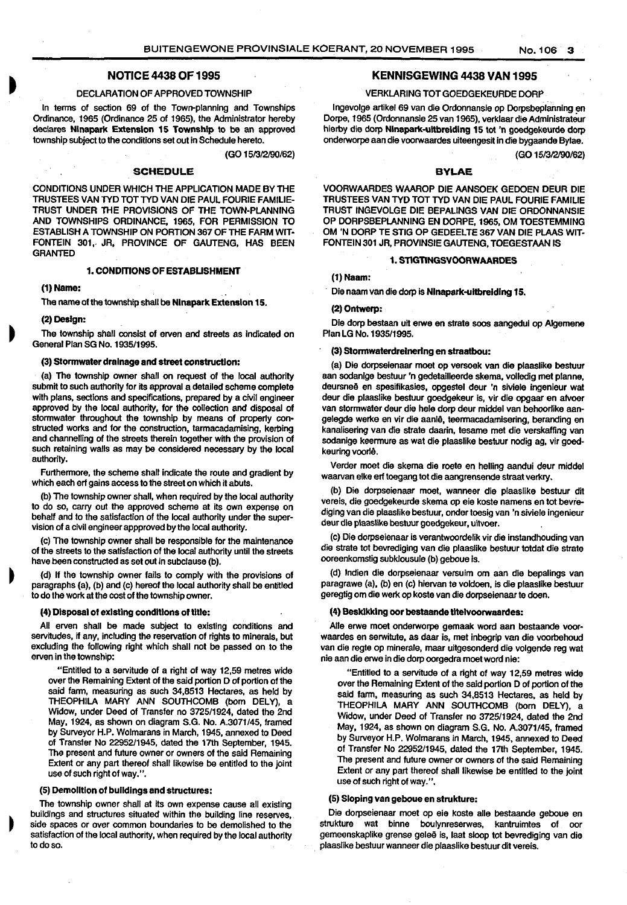## NOTICE 4438 OF 1995

#### DECLARATION OF APPROVED TOWNSHIP

In terms of section 69 of the Town-planning and Townships Ordinance, 1965 (Ordinance 25 of 1965), the Administrator hereby declares Nlnapark Extension 15 Township to be an approved township subject to the conditions set out in Schedule hereto.

(GO 151312190/62)

# **SCHEDULE**

CONDITIONS UNDER WHICH THE APPLICATION MADE BY THE TRUSTEES VAN TYD TOT TYD VAN DIE PAUL FOURIE FAMILIE-TRUST UNDER THE PROVISIONS OF THE TOWN-PLANNING AND TOWNSHIPS ORDINANCE, 1965, FOR PERMISSION TO ESTABLISH A TOWNSHIP ON PORTION 367 OF THE FARM WIT-FONTEIN 301, JR, PROVINCE OF GAUTENG, HAS BEEN GRANTED

## 1. CONDITIONS OF ESTABLISHMENT

#### (1) Name:

The name of the township shall be Nlnapark Extension 15.

#### (2) Design:

The township shall consist of erven and streets as Indicated on General Plan SG No. 1935/1995.

#### (3) Stormwater drainage and street construction:

(a) The township owner shall on request of the locel authority submit to such authority for its approval a detailed scheme complete with plans, sections and specifications, prepared by a civil engineer approved by the local authority, for the collection and disposal of stormwater throughout the township by means of properly constructed works and for the construction, tarmacadamising, kerbing and channelling of the streets therein together with the provision of such retaining walls as may be considered necessary by the local authority.

Furthermore, the scheme shall indicate the route and gradient by which each erf gains access to the street on which it abuts.

(b) The township owner shall, when required by the local authority to do so, carry out the approved scheme at its own expense on behalf and to the satisfaction of the local authority under the supervision of a civil engineer appproved by the local authority.

(c) The township owner shall be responsible for the maintenance of the streets to the satisfaction of the local authority until the streets have been constructed as set out in subclause (b).

(d) If the township owner fails to comply with the provisions of paragraphs (a), (b) and (c) hereof the local authority shall be entitled to do the work at the cost of the township owner.

#### (4) Disposal of existing conditions of title:

All erven shall be made subject to existing conditions and servitudes, if any, including the reservation of rights to minerals, but excluding the following right which shall not be passed on to the erven in the township:

"Entitled to a servitude of a right of way 12,59 metres wide over the Remaining Extent of the said portion D of portion of the said farm, measuring as such 34,8513 Hectares, as held by THEOPHILA MARY ANN SOUTHCOMB (born DELY), a Widow, under Deed of Transfer no 3725/1924, dated the 2nd May, 1924, as shown on diagram S.G. No. A.3071/45, framed by Surveyor H.P. Wolmarans in March, 1945, annexed to Deed of Transter No 22952/1945, dated the 17th September, 1945. The present and future owner or owners of the said Remaining Extent or any part thereof shall likewise be entitled to the joint use of such right of way.".

#### (5) Demolition of buildings and structures:

The township owner shall at its own expense cause all existing buildings and structures situated within the building line reserves, side spaces or over common boundaries to be demolished to the satisfaction of the local authority, when required by the local authority todoso.

#### KENNISGEWING 4438 VAN 1995

VERKLARING TOT GOEDGEKEURDE DORP

lngevolge artikel 69 van die Ordonnansie op Dorpsbeplanning en Dorpe, 1965 (Ordonnansie 25 van 1965), verklaer die Administrateur hierby die dorp Ninapark-ultbreiding 15 tot 'n goedgekeurde dorp onderworpe aan die voorwaardes uiteengesit in die bygaande Bylae.

(GO 151312190/62)

#### BYLAE

VOORWAARDES WAAROP DIE AANSOEK GEDOEN DEUR DIE TRUSTEES VAN TYD TOT TYD VAN DIE PAUL FOURIE FAMILIE TRUST INGEVOLGE DIE BEPALINGS VAN DIE ORDONNANSIE OP DORPSBEPLANNING EN DORPE, 1965, OM TOESTEMMING OM 'N DORP TE STIG OP GEDEELTE 367 VAN DIE PLAAS WIT-FONTEIN 301 JR, PROVINSIE GAUTENG, TOEGESTAAN IS

# 1. STIGTINGSVOORWAARDES

(1) Naam:

Die naam van die dorp is Ninapark-uitbreiding 15.

#### (2) Ontwerp:

Die dorp bestaan uit erwe en strata soos aangedul op Algemene Plan LG No. 193511995.

## (3) Stormwaterdrelnerlng en straatbou:

(a) Die dorpselenaar moet op versoek van die plaaslike bestuur aan sodanlge bestuur 'n gedetailleerde skema, volledig met planne, deursneë en spesifikasies, opgestel deur 'n siviele ingenieur wat deur die plaaslike bestuur goedgekeur is, vir die opgaer en afvoer van stormwater deur die hele dorp deur middel van behoorlike aangelegde werke en vir die aanlê, teermacadamisering, beranding en kanalisering van die strata daarin, tesame met die verskaffing van sodanige keermure as wat die plaaslike bestuur nodig ag, vir goedkeuring voorlê.

Verder moet die skema die roete en helling aandui deur middel waarvan elke erf toegang tot die aangrensende straat verkry.

(b) Die dorpseienaar moet, wanneer die plaaslike bestuur dit vereis, die goedgekeurde skema op eie koste namens en tot bevrediging van die plaaslike bestuur, onder toesig van 'n siviele ingenieur deur die plaaslike bestuur goedgekeur, uitvoer.

(c) Die dorpseienaar is verantwoordelik vir die lnstandhouding van die strata tot bevrediging van die plaaslike bestuur totdat die strata ooreenkomstig subklousule (b) geboue is.

(d) lndien die dorpseienaar versuim om aan die bepalings van paragrawe (a), (b) en (c) hiervan te voldoen, is die plaaslike bestuur geregtig om die werk op koste van die dorpseienaar te doen.

#### {4) Besklkklng oor bestaande tltelvoorwaardes:

Aile erwe moet onderworpe gemaak word aan bestaande voorwaardes en serwitute, as daar is, met inbegrip van die voorbehoud van die regie op minerale, maar uitgesonderd die volgende reg wat nie aan die erwe in die dorp oorgedra moet word nie:

"Entitled to a servitude of a right of way 12,59 metres wide over the Remaining Extent of the said portion D of portion of the said farm, measuring as such 34,8513 Hectares, as held by THEOPHILA MARY ANN SOUTHCOMB (born DELY), a Widow, under Deed of Transfer no 3725/1924, dated the 2nd May, 1924, as shown on diagram S.G. No. A.3071/45, framed by Surveyor H.P. Wolmarans in March, 1945, annexed to Deed of Transfer No 22952/1945, dated the 17th September, 1945. The present and future owner or owners of the said Remaining Extent or any part thereof shall likewise be entitled to the joint use of such right of way.".

#### (5) Sloping van geboue en strukture:

Die dorpseienaar moet op eie koste aile bestaande geboue en strukture wat binne boulynreserwes, kantruimtes of oor gemeenskaplike grense geleë is, laat sloop tot bevrediging van die plaaslike bestuur wanneer die plaaslike bestuur dit vereis.